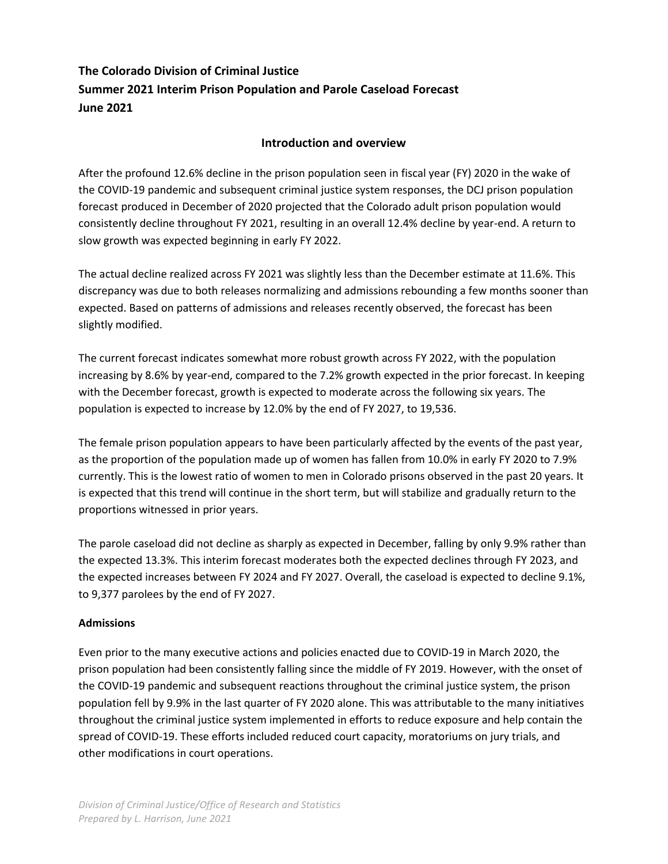# **The Colorado Division of Criminal Justice Summer 2021 Interim Prison Population and Parole Caseload Forecast June 2021**

# **Introduction and overview**

After the profound 12.6% decline in the prison population seen in fiscal year (FY) 2020 in the wake of the COVID-19 pandemic and subsequent criminal justice system responses, the DCJ prison population forecast produced in December of 2020 projected that the Colorado adult prison population would consistently decline throughout FY 2021, resulting in an overall 12.4% decline by year-end. A return to slow growth was expected beginning in early FY 2022.

The actual decline realized across FY 2021 was slightly less than the December estimate at 11.6%. This discrepancy was due to both releases normalizing and admissions rebounding a few months sooner than expected. Based on patterns of admissions and releases recently observed, the forecast has been slightly modified.

The current forecast indicates somewhat more robust growth across FY 2022, with the population increasing by 8.6% by year-end, compared to the 7.2% growth expected in the prior forecast. In keeping with the December forecast, growth is expected to moderate across the following six years. The population is expected to increase by 12.0% by the end of FY 2027, to 19,536.

The female prison population appears to have been particularly affected by the events of the past year, as the proportion of the population made up of women has fallen from 10.0% in early FY 2020 to 7.9% currently. This is the lowest ratio of women to men in Colorado prisons observed in the past 20 years. It is expected that this trend will continue in the short term, but will stabilize and gradually return to the proportions witnessed in prior years.

The parole caseload did not decline as sharply as expected in December, falling by only 9.9% rather than the expected 13.3%. This interim forecast moderates both the expected declines through FY 2023, and the expected increases between FY 2024 and FY 2027. Overall, the caseload is expected to decline 9.1%, to 9,377 parolees by the end of FY 2027.

# **Admissions**

Even prior to the many executive actions and policies enacted due to COVID-19 in March 2020, the prison population had been consistently falling since the middle of FY 2019. However, with the onset of the COVID-19 pandemic and subsequent reactions throughout the criminal justice system, the prison population fell by 9.9% in the last quarter of FY 2020 alone. This was attributable to the many initiatives throughout the criminal justice system implemented in efforts to reduce exposure and help contain the spread of COVID-19. These efforts included reduced court capacity, moratoriums on jury trials, and other modifications in court operations.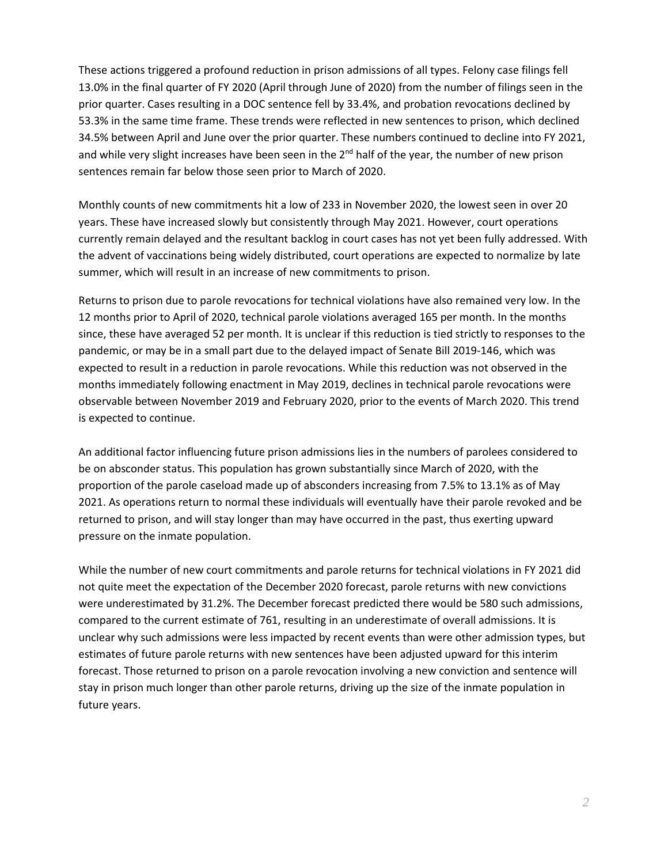These actions triggered a profound reduction in prison admissions of all types. Felony case filings fell 13.0% in the final quarter of FY 2020 (April through June of 2020) from the number of filings seen in the prior quarter. Cases resulting in a DOC sentence fell by 33.4%, and probation revocations declined by 53.3% in the same time frame. These trends were reflected in new sentences to prison, which declined 34.5% between April and June over the prior quarter. These numbers continued to decline into FY 2021, and while very slight increases have been seen in the  $2<sup>nd</sup>$  half of the year, the number of new prison sentences remain far below those seen prior to March of 2020.

Monthly counts of new commitments hit a low of 233 in November 2020, the lowest seen in over 20 years. These have increased slowly but consistently through May 2021. However, court operations currently remain delayed and the resultant backlog in court cases has not yet been fully addressed. With the advent of vaccinations being widely distributed, court operations are expected to normalize by late summer, which will result in an increase of new commitments to prison.

Returns to prison due to parole revocations for technical violations have also remained very low. In the 12 months prior to April of 2020, technical parole violations averaged 165 per month. In the months since, these have averaged 52 per month. It is unclear if this reduction is tied strictly to responses to the pandemic, or may be in a small part due to the delayed impact of Senate Bill 2019-146, which was expected to result in a reduction in parole revocations. While this reduction was not observed in the months immediately following enactment in May 2019, declines in technical parole revocations were observable between November 2019 and February 2020, prior to the events of March 2020. This trend is expected to continue.

An additional factor influencing future prison admissions lies in the numbers of parolees considered to be on absconder status. This population has grown substantially since March of 2020, with the proportion of the parole caseload made up of absconders increasing from 7.5% to 13.1% as of May 2021. As operations return to normal these individuals will eventually have their parole revoked and be returned to prison, and will stay longer than may have occurred in the past, thus exerting upward pressure on the inmate population.

While the number of new court commitments and parole returns for technical violations in FY 2021 did not quite meet the expectation of the December 2020 forecast, parole returns with new convictions were underestimated by 31.2%. The December forecast predicted there would be 580 such admissions, compared to the current estimate of 761, resulting in an underestimate of overall admissions. It is unclear why such admissions were less impacted by recent events than were other admission types, but estimates of future parole returns with new sentences have been adjusted upward for this interim forecast. Those returned to prison on a parole revocation involving a new conviction and sentence will stay in prison much longer than other parole returns, driving up the size of the inmate population in future years.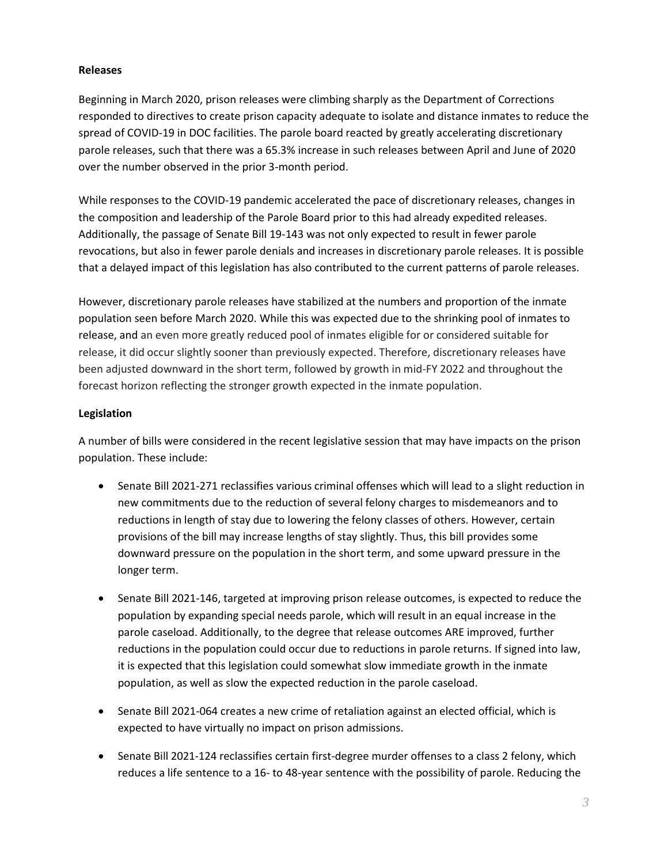# **Releases**

Beginning in March 2020, prison releases were climbing sharply as the Department of Corrections responded to directives to create prison capacity adequate to isolate and distance inmates to reduce the spread of COVID-19 in DOC facilities. The parole board reacted by greatly accelerating discretionary parole releases, such that there was a 65.3% increase in such releases between April and June of 2020 over the number observed in the prior 3-month period.

While responses to the COVID-19 pandemic accelerated the pace of discretionary releases, changes in the composition and leadership of the Parole Board prior to this had already expedited releases. Additionally, the passage of Senate Bill 19-143 was not only expected to result in fewer parole revocations, but also in fewer parole denials and increases in discretionary parole releases. It is possible that a delayed impact of this legislation has also contributed to the current patterns of parole releases.

However, discretionary parole releases have stabilized at the numbers and proportion of the inmate population seen before March 2020. While this was expected due to the shrinking pool of inmates to release, and an even more greatly reduced pool of inmates eligible for or considered suitable for release, it did occur slightly sooner than previously expected. Therefore, discretionary releases have been adjusted downward in the short term, followed by growth in mid-FY 2022 and throughout the forecast horizon reflecting the stronger growth expected in the inmate population.

# **Legislation**

A number of bills were considered in the recent legislative session that may have impacts on the prison population. These include:

- Senate Bill 2021-271 reclassifies various criminal offenses which will lead to a slight reduction in new commitments due to the reduction of several felony charges to misdemeanors and to reductions in length of stay due to lowering the felony classes of others. However, certain provisions of the bill may increase lengths of stay slightly. Thus, this bill provides some downward pressure on the population in the short term, and some upward pressure in the longer term.
- Senate Bill 2021-146, targeted at improving prison release outcomes, is expected to reduce the population by expanding special needs parole, which will result in an equal increase in the parole caseload. Additionally, to the degree that release outcomes ARE improved, further reductions in the population could occur due to reductions in parole returns. If signed into law, it is expected that this legislation could somewhat slow immediate growth in the inmate population, as well as slow the expected reduction in the parole caseload.
- Senate Bill 2021-064 creates a new crime of retaliation against an elected official, which is expected to have virtually no impact on prison admissions.
- Senate Bill [2021-124](https://leg.colorado.gov/bills/sb21-124) reclassifies certain first-degree murder offenses to a class 2 felony, which reduces a life sentence to a 16- to 48-year sentence with the possibility of parole. Reducing the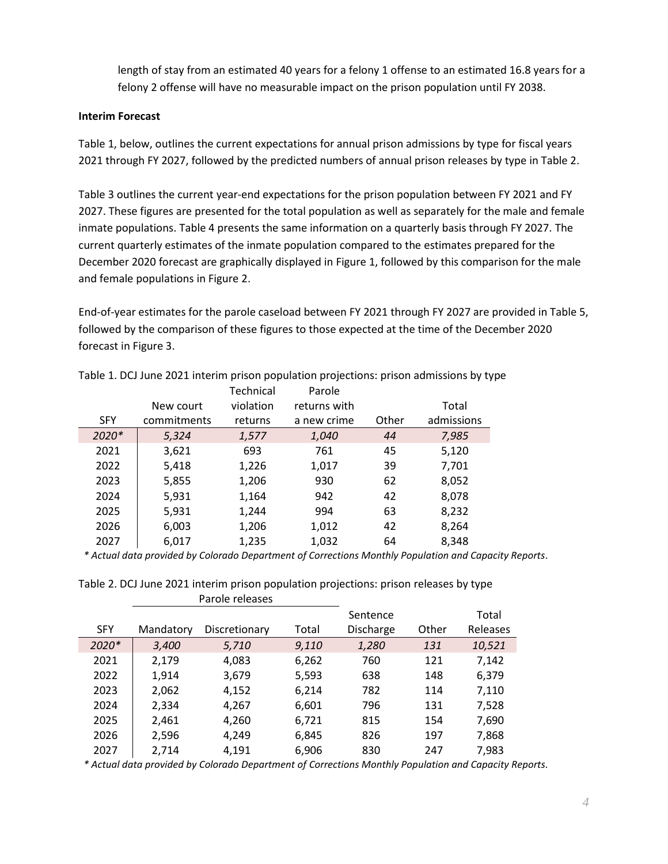length of stay from an estimated 40 years for a felony 1 offense to an estimated 16.8 years for a felony 2 offense will have no measurable impact on the prison population until FY 2038.

# **Interim Forecast**

Table 1, below, outlines the current expectations for annual prison admissions by type for fiscal years 2021 through FY 2027, followed by the predicted numbers of annual prison releases by type in Table 2.

Table 3 outlines the current year-end expectations for the prison population between FY 2021 and FY 2027. These figures are presented for the total population as well as separately for the male and female inmate populations. Table 4 presents the same information on a quarterly basis through FY 2027. The current quarterly estimates of the inmate population compared to the estimates prepared for the December 2020 forecast are graphically displayed in Figure 1, followed by this comparison for the male and female populations in Figure 2.

End-of-year estimates for the parole caseload between FY 2021 through FY 2027 are provided in Table 5, followed by the comparison of these figures to those expected at the time of the December 2020 forecast in Figure 3.

|            |             | Technical | Parole       |       |            |
|------------|-------------|-----------|--------------|-------|------------|
|            | New court   | violation | returns with |       | Total      |
| <b>SFY</b> | commitments | returns   | a new crime  | Other | admissions |
| 2020*      | 5,324       | 1,577     | 1,040        | 44    | 7,985      |
| 2021       | 3,621       | 693       | 761          | 45    | 5,120      |
| 2022       | 5,418       | 1,226     | 1,017        | 39    | 7,701      |
| 2023       | 5,855       | 1,206     | 930          | 62    | 8,052      |
| 2024       | 5,931       | 1,164     | 942          | 42    | 8,078      |
| 2025       | 5,931       | 1,244     | 994          | 63    | 8,232      |
| 2026       | 6,003       | 1,206     | 1,012        | 42    | 8,264      |
| 2027       | 6,017       | 1,235     | 1,032        | 64    | 8,348      |

Table 1. DCJ June 2021 interim prison population projections: prison admissions by type

*\* Actual data provided by Colorado Department of Corrections Monthly Population and Capacity Reports.*

| Table 2. DCJ June 2021 interim prison population projections: prison releases by type |  |  |  |
|---------------------------------------------------------------------------------------|--|--|--|
|---------------------------------------------------------------------------------------|--|--|--|

|            | Parole releases |               |       |           |       |                 |
|------------|-----------------|---------------|-------|-----------|-------|-----------------|
|            |                 |               |       | Sentence  |       | Total           |
| <b>SFY</b> | Mandatory       | Discretionary | Total | Discharge | Other | <b>Releases</b> |
| 2020*      | 3,400           | 5,710         | 9,110 | 1,280     | 131   | 10,521          |
| 2021       | 2,179           | 4,083         | 6,262 | 760       | 121   | 7,142           |
| 2022       | 1,914           | 3,679         | 5,593 | 638       | 148   | 6,379           |
| 2023       | 2,062           | 4,152         | 6,214 | 782       | 114   | 7,110           |
| 2024       | 2,334           | 4,267         | 6,601 | 796       | 131   | 7,528           |
| 2025       | 2,461           | 4,260         | 6,721 | 815       | 154   | 7,690           |
| 2026       | 2,596           | 4,249         | 6,845 | 826       | 197   | 7,868           |
| 2027       | 2,714           | 4,191         | 6,906 | 830       | 247   | 7,983           |

*\* Actual data provided by Colorado Department of Corrections Monthly Population and Capacity Reports.*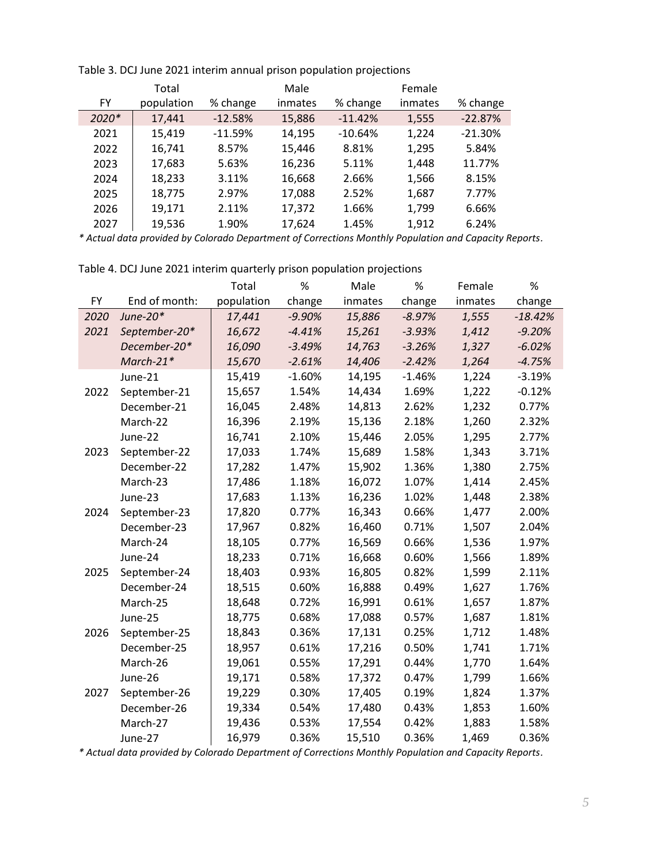|         | Total      |           | Male    |           | Female  |           |
|---------|------------|-----------|---------|-----------|---------|-----------|
| FY      | population | % change  | inmates | % change  | inmates | % change  |
| $2020*$ | 17,441     | $-12.58%$ | 15,886  | $-11.42%$ | 1,555   | $-22.87%$ |
| 2021    | 15,419     | $-11.59%$ | 14,195  | $-10.64%$ | 1,224   | $-21.30%$ |
| 2022    | 16,741     | 8.57%     | 15,446  | 8.81%     | 1,295   | 5.84%     |
| 2023    | 17,683     | 5.63%     | 16,236  | 5.11%     | 1,448   | 11.77%    |
| 2024    | 18,233     | 3.11%     | 16,668  | 2.66%     | 1,566   | 8.15%     |
| 2025    | 18,775     | 2.97%     | 17,088  | 2.52%     | 1,687   | 7.77%     |
| 2026    | 19,171     | 2.11%     | 17,372  | 1.66%     | 1,799   | 6.66%     |
| 2027    | 19,536     | 1.90%     | 17,624  | 1.45%     | 1,912   | 6.24%     |

Table 3. DCJ June 2021 interim annual prison population projections

*\* Actual data provided by Colorado Department of Corrections Monthly Population and Capacity Reports.*

Table 4. DCJ June 2021 interim quarterly prison population projections

|           |               | Total      | %        | Male    | %        | Female  | %         |
|-----------|---------------|------------|----------|---------|----------|---------|-----------|
| <b>FY</b> | End of month: | population | change   | inmates | change   | inmates | change    |
| 2020      | June- $20*$   | 17,441     | $-9.90%$ | 15,886  | $-8.97%$ | 1,555   | $-18.42%$ |
| 2021      | September-20* | 16,672     | $-4.41%$ | 15,261  | $-3.93%$ | 1,412   | $-9.20%$  |
|           | December-20*  | 16,090     | $-3.49%$ | 14,763  | $-3.26%$ | 1,327   | $-6.02%$  |
|           | $March-21*$   | 15,670     | $-2.61%$ | 14,406  | $-2.42%$ | 1,264   | $-4.75%$  |
|           | June-21       | 15,419     | $-1.60%$ | 14,195  | $-1.46%$ | 1,224   | $-3.19%$  |
| 2022      | September-21  | 15,657     | 1.54%    | 14,434  | 1.69%    | 1,222   | $-0.12%$  |
|           | December-21   | 16,045     | 2.48%    | 14,813  | 2.62%    | 1,232   | 0.77%     |
|           | March-22      | 16,396     | 2.19%    | 15,136  | 2.18%    | 1,260   | 2.32%     |
|           | June-22       | 16,741     | 2.10%    | 15,446  | 2.05%    | 1,295   | 2.77%     |
| 2023      | September-22  | 17,033     | 1.74%    | 15,689  | 1.58%    | 1,343   | 3.71%     |
|           | December-22   | 17,282     | 1.47%    | 15,902  | 1.36%    | 1,380   | 2.75%     |
|           | March-23      | 17,486     | 1.18%    | 16,072  | 1.07%    | 1,414   | 2.45%     |
|           | June-23       | 17,683     | 1.13%    | 16,236  | 1.02%    | 1,448   | 2.38%     |
| 2024      | September-23  | 17,820     | 0.77%    | 16,343  | 0.66%    | 1,477   | 2.00%     |
|           | December-23   | 17,967     | 0.82%    | 16,460  | 0.71%    | 1,507   | 2.04%     |
|           | March-24      | 18,105     | 0.77%    | 16,569  | 0.66%    | 1,536   | 1.97%     |
|           | June-24       | 18,233     | 0.71%    | 16,668  | 0.60%    | 1,566   | 1.89%     |
| 2025      | September-24  | 18,403     | 0.93%    | 16,805  | 0.82%    | 1,599   | 2.11%     |
|           | December-24   | 18,515     | 0.60%    | 16,888  | 0.49%    | 1,627   | 1.76%     |
|           | March-25      | 18,648     | 0.72%    | 16,991  | 0.61%    | 1,657   | 1.87%     |
|           | June-25       | 18,775     | 0.68%    | 17,088  | 0.57%    | 1,687   | 1.81%     |
| 2026      | September-25  | 18,843     | 0.36%    | 17,131  | 0.25%    | 1,712   | 1.48%     |
|           | December-25   | 18,957     | 0.61%    | 17,216  | 0.50%    | 1,741   | 1.71%     |
|           | March-26      | 19,061     | 0.55%    | 17,291  | 0.44%    | 1,770   | 1.64%     |
|           | June-26       | 19,171     | 0.58%    | 17,372  | 0.47%    | 1,799   | 1.66%     |
| 2027      | September-26  | 19,229     | 0.30%    | 17,405  | 0.19%    | 1,824   | 1.37%     |
|           | December-26   | 19,334     | 0.54%    | 17,480  | 0.43%    | 1,853   | 1.60%     |
|           | March-27      | 19,436     | 0.53%    | 17,554  | 0.42%    | 1,883   | 1.58%     |
|           | June-27       | 16,979     | 0.36%    | 15,510  | 0.36%    | 1,469   | 0.36%     |

*\* Actual data provided by Colorado Department of Corrections Monthly Population and Capacity Reports.*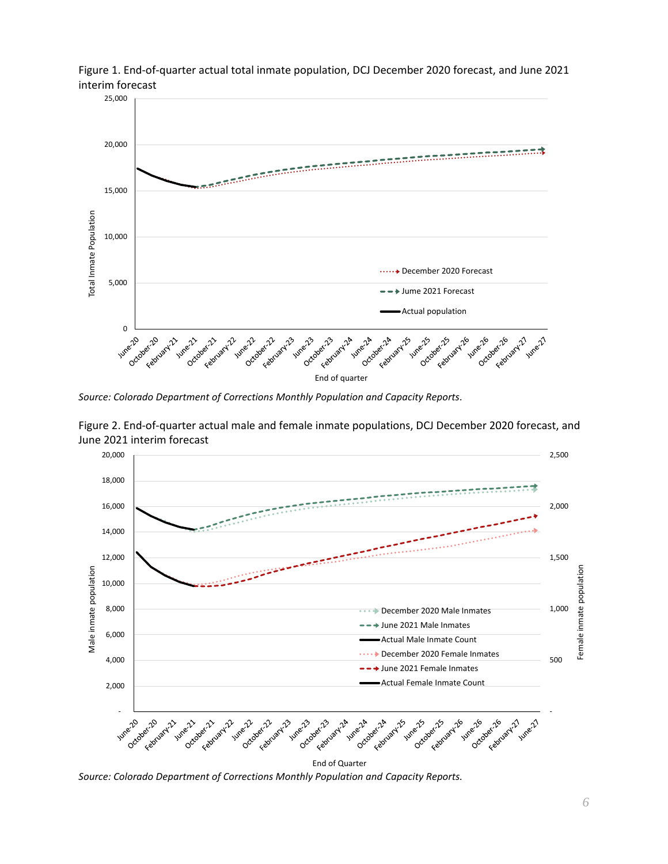

Figure 1. End-of-quarter actual total inmate population, DCJ December 2020 forecast, and June 2021 interim forecast

*Source: Colorado Department of Corrections Monthly Population and Capacity Reports.* 



Figure 2. End-of-quarter actual male and female inmate populations, DCJ December 2020 forecast, and June 2021 interim forecast

*Source: Colorado Department of Corrections Monthly Population and Capacity Reports.* End of Quarter